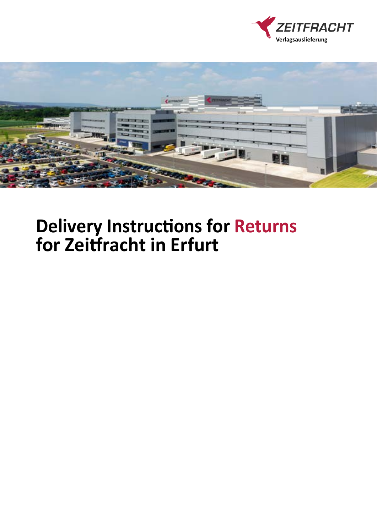



# **Delivery Instructions for Returns for Zeitfracht in Erfurt**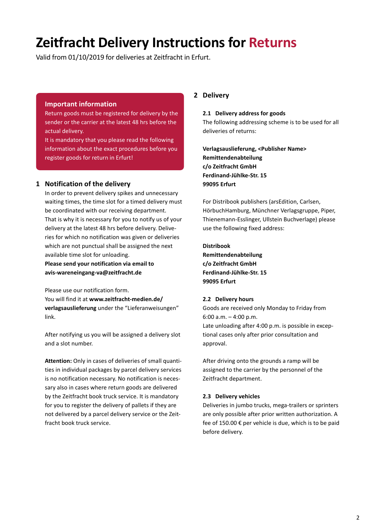# **Zeitfracht Delivery Instructions for Returns**

Valid from 01/10/2019 for deliveries at Zeitfracht in Erfurt.

#### **Important information**

Return goods must be registered for delivery by the sender or the carrier at the latest 48 hrs before the actual delivery.

It is mandatory that you please read the following information about the exact procedures before you register goods for return in Erfurt!

#### **1 Notification of the delivery**

In order to prevent delivery spikes and unnecessary waiting times, the time slot for a timed delivery must be coordinated with our receiving department. That is why it is necessary for you to notify us of your delivery at the latest 48 hrs before delivery. Deliveries for which no notification was given or deliveries which are not punctual shall be assigned the next available time slot for unloading.

**Please send your notification via email to avis-wareneingang-va@zeitfracht.de** 

Please use our notification form.

You will find it at **www.zeitfracht-medien.de/ verlagsauslieferung** under the "Lieferanweisungen" link.

After notifying us you will be assigned a delivery slot and a slot number.

**Attention:** Only in cases of deliveries of small quantities in individual packages by parcel delivery services is no notification necessary. No notification is necessary also in cases where return goods are delivered by the Zeitfracht book truck service. It is mandatory for you to register the delivery of pallets if they are not delivered by a parcel delivery service or the Zeitfracht book truck service.

## **2 Delivery**

#### **2.1 Delivery address for goods**

The following addressing scheme is to be used for all deliveries of returns:

**Verlagsauslieferung, <Publisher Name> Remittendenabteilung c/o Zeitfracht GmbH Ferdinand-Jühlke-Str. 15 99095 Erfurt**

For Distribook publishers (arsEdition, Carlsen, HörbuchHamburg, Münchner Verlagsgruppe, Piper, Thienemann-Esslinger, Ullstein Buchverlage) please use the following fixed address:

**Distribook Remittendenabteilung c/o Zeitfracht GmbH Ferdinand-Jühlke-Str. 15 99095 Erfurt**

#### **2.2 Delivery hours**

Goods are received only Monday to Friday from 6:00 a.m. – 4:00 p.m.

Late unloading after 4:00 p.m. is possible in exceptional cases only after prior consultation and approval.

After driving onto the grounds a ramp will be assigned to the carrier by the personnel of the Zeitfracht department.

#### **2.3 Delivery vehicles**

Deliveries in jumbo trucks, mega-trailers or sprinters are only possible after prior written authorization. A fee of 150.00 € per vehicle is due, which is to be paid before delivery.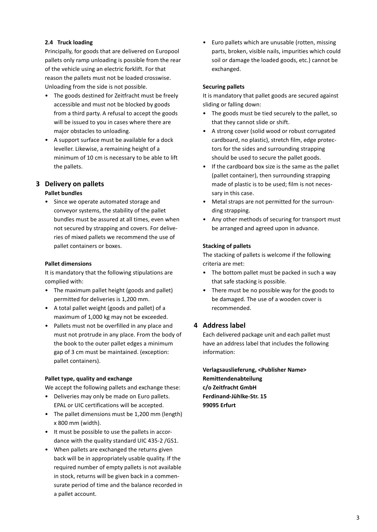#### **2.4 Truck loading**

Principally, for goods that are delivered on Europool pallets only ramp unloading is possible from the rear of the vehicle using an electric forklift. For that reason the pallets must not be loaded crosswise. Unloading from the side is not possible.

- The goods destined for Zeitfracht must be freely accessible and must not be blocked by goods from a third party. A refusal to accept the goods will be issued to you in cases where there are major obstacles to unloading.
- A support surface must be available for a dock leveller. Likewise, a remaining height of a minimum of 10 cm is necessary to be able to lift the pallets.

## **3 Delivery on pallets**

#### **Pallet bundles**

• Since we operate automated storage and conveyor systems, the stability of the pallet bundles must be assured at all times, even when not secured by strapping and covers. For deliveries of mixed pallets we recommend the use of pallet containers or boxes.

#### **Pallet dimensions**

It is mandatory that the following stipulations are complied with:

- The maximum pallet height (goods and pallet) permitted for deliveries is 1,200 mm.
- A total pallet weight (goods and pallet) of a maximum of 1,000 kg may not be exceeded.
- Pallets must not be overfilled in any place and must not protrude in any place. From the body of the book to the outer pallet edges a minimum gap of 3 cm must be maintained. (exception: pallet containers).

#### **Pallet type, quality and exchange**

We accept the following pallets and exchange these:

- Deliveries may only be made on Euro pallets. EPAL or UIC certifications will be accepted.
- The pallet dimensions must be 1,200 mm (length) x 800 mm (width).
- It must be possible to use the pallets in accordance with the quality standard UIC 435-2 /GS1.
- When pallets are exchanged the returns given back will be in appropriately usable quality. If the required number of empty pallets is not available in stock, returns will be given back in a commensurate period of time and the balance recorded in a pallet account.

• Euro pallets which are unusable (rotten, missing parts, broken, visible nails, impurities which could soil or damage the loaded goods, etc.) cannot be exchanged.

#### **Securing pallets**

It is mandatory that pallet goods are secured against sliding or falling down:

- The goods must be tied securely to the pallet, so that they cannot slide or shift.
- A strong cover (solid wood or robust corrugated cardboard, no plastic), stretch film, edge protectors for the sides and surrounding strapping should be used to secure the pallet goods.
- If the cardboard box size is the same as the pallet (pallet container), then surrounding strapping made of plastic is to be used; film is not necessary in this case.
- Metal straps are not permitted for the surrounding strapping.
- Any other methods of securing for transport must be arranged and agreed upon in advance.

#### **Stacking of pallets**

The stacking of pallets is welcome if the following criteria are met:

- The bottom pallet must be packed in such a way that safe stacking is possible.
- There must be no possible way for the goods to be damaged. The use of a wooden cover is recommended.

#### **4 Address label**

Each delivered package unit and each pallet must have an address label that includes the following information:

**Verlagsauslieferung, <Publisher Name> Remittendenabteilung c/o Zeitfracht GmbH Ferdinand-Jühlke-Str. 15 99095 Erfurt**